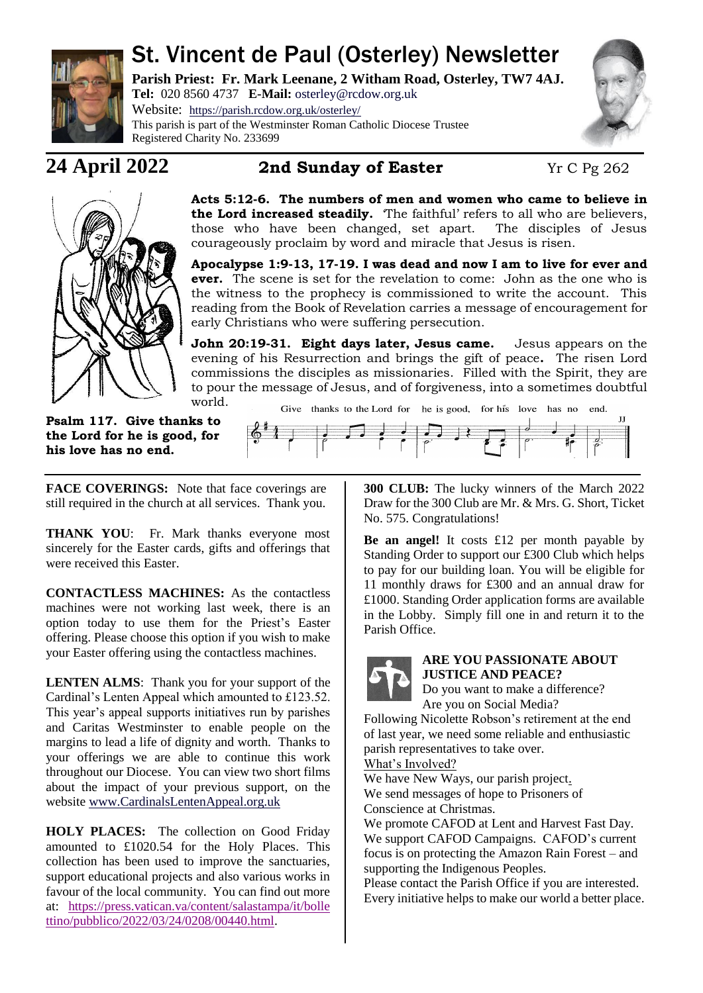

# St. Vincent de Paul (Osterley) Newsletter

**Parish Priest: Fr. Mark Leenane, 2 Witham Road, Osterley, TW7 4AJ. Tel:** 020 8560 4737 **E-Mail:** [osterley@rcdow.org.uk](mailto:osterley@rcdow.org.uk)

Website: <https://parish.rcdow.org.uk/osterley/> This parish is part of the Westminster Roman Catholic Diocese Trustee Registered Charity No. 233699



T

# **24 April 2022 2nd Sunday of Easter** Yr C Pg 262



**Acts 5:12-6. The numbers of men and women who came to believe in the Lord increased steadily.** The faithful' refers to all who are believers, those who have been changed, set apart. The disciples of Jesus courageously proclaim by word and miracle that Jesus is risen.

**Apocalypse 1:9-13, 17-19. I was dead and now I am to live for ever and ever.** The scene is set for the revelation to come: John as the one who is the witness to the prophecy is commissioned to write the account. This reading from the Book of Revelation carries a message of encouragement for early Christians who were suffering persecution.

**John 20:19-31. Eight days later, Jesus came.** Jesus appears on the evening of his Resurrection and brings the gift of peace**.** The risen Lord commissions the disciples as missionaries. Filled with the Spirit, they are to pour the message of Jesus, and of forgiveness, into a sometimes doubtful world.

Give thanks to the Lord for he is good, for his love has no

**Psalm 117. Give thanks to the Lord for he is good, for his love has no end.**

FACE COVERINGS: Note that face coverings are still required in the church at all services. Thank you.

**THANK YOU**: Fr. Mark thanks everyone most sincerely for the Easter cards, gifts and offerings that were received this Easter.

**CONTACTLESS MACHINES:** As the contactless machines were not working last week, there is an option today to use them for the Priest's Easter offering. Please choose this option if you wish to make your Easter offering using the contactless machines.

**LENTEN ALMS**: Thank you for your support of the Cardinal's Lenten Appeal which amounted to £123.52. This year's appeal supports initiatives run by parishes and Caritas Westminster to enable people on the margins to lead a life of dignity and worth. Thanks to your offerings we are able to continue this work throughout our Diocese. You can view two short films about the impact of your previous support, on the website [www.CardinalsLentenAppeal.org.uk](http://www.cardinalslentenappeal.org.uk/)

**HOLY PLACES:** The collection on Good Friday amounted to £1020.54 for the Holy Places. This collection has been used to improve the sanctuaries, support educational projects and also various works in favour of the local community. You can find out more at: [https://press.vatican.va/content/salastampa/it/bolle](https://press.vatican.va/content/salastampa/it/bollettino/pubblico/2022/03/24/0208/00440.html) [ttino/pubblico/2022/03/24/0208/00440.html.](https://press.vatican.va/content/salastampa/it/bollettino/pubblico/2022/03/24/0208/00440.html)

**300 CLUB:** The lucky winners of the March 2022 Draw for the 300 Club are Mr. & Mrs. G. Short, Ticket No. 575. Congratulations!

**Be an angel!** It costs £12 per month payable by Standing Order to support our £300 Club which helps to pay for our building loan. You will be eligible for 11 monthly draws for £300 and an annual draw for £1000. Standing Order application forms are available in the Lobby. Simply fill one in and return it to the Parish Office.



**ARE YOU PASSIONATE ABOUT JUSTICE AND PEACE?** 

Do you want to make a difference? Are you on Social Media?

Following Nicolette Robson's retirement at the end of last year, we need some reliable and enthusiastic parish representatives to take over.

What's Involved?

We have New Ways, our parish project.

We send messages of hope to Prisoners of Conscience at Christmas.

We promote CAFOD at Lent and Harvest Fast Day. We support CAFOD Campaigns. CAFOD's current focus is on protecting the Amazon Rain Forest – and supporting the Indigenous Peoples.

Please contact the Parish Office if you are interested. Every initiative helps to make our world a better place.